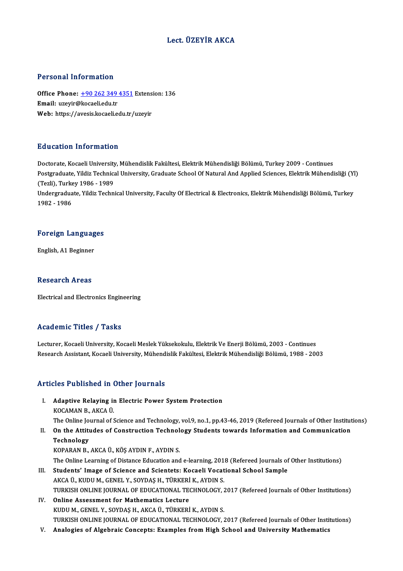## Lect. ÜZEYİR AKCA

## Personal Information

Personal Information<br>Office Phone: <u>+90 262 349 4351</u> Extension: 136<br>Email: www.@kasasliady.tr Email: uzeyir[@kocaeli.edu.tr](tel:+90 262 349 4351)<br>Web: https://avesis.kocaeli.edu.tr/uzeyir Office Phone: <u>+90 262 349 4351</u> Extens<br>Email: uzeyir@kocaeli.edu.tr<br>Web: https://avesis.kocaeli.edu.tr/uzeyir

## Education Information

Doctorate, Kocaeli University, Mühendislik Fakültesi, Elektrik Mühendisliği Bölümü, Turkey 2009 - Continues Pu u outror, Trivor Inderon<br>Doctorate, Kocaeli University, Mühendislik Fakültesi, Elektrik Mühendisliği Bölümü, Turkey 2009 - Continues<br>Charli), Turkey 1986, 1989 Doctorate, Kocaeli University<br>Postgraduate, Yildiz Technica<br>(Tezli), Turkey 1986 - 1989<br>Undergraduate, <sup>Vildiz Techn</sup> Postgraduate, Yildiz Technical University, Graduate School Of Natural And Applied Sciences, Elektrik Mühendisliği (Yl<br>(Tezli), Turkey 1986 - 1989<br>Undergraduate, Yildiz Technical University, Faculty Of Electrical & Electron (Tezli), Turkey 1986 - 1989<br>Undergraduate, Yildiz Technical University, Faculty Of Electrical & Electronics, Elektrik Mühendisliği Bölümü, Turkey<br>1982 - 1986

## 1982-1986<br>Foreign Languages <mark>Foreign Languag</mark><br>English, A1 Beginner

English, A1 Beginner<br>Research Areas

Electrical and Electronics Engineering

### Academic Titles / Tasks

Academic Titles / Tasks<br>Lecturer, Kocaeli University, Kocaeli Meslek Yüksekokulu, Elektrik Ve Enerji Bölümü, 2003 - Continues<br>Pesearsk Assistant Kosaeli University, Mühandielik Felsültesi, Elektrik Mühandieliği Bölümü, 199 rredd emre "rrres", "rdene<br>Lecturer, Kocaeli University, Kocaeli Meslek Yüksekokulu, Elektrik Ve Enerji Bölümü, 2003 - Continues<br>Research Assistant, Kocaeli University, Mühendislik Fakültesi, Elektrik Mühendisliği Bölümü, Research Assistant, Kocaeli University, Mühendislik Fakültesi, Elektrik Mühendisliği Bölümü, 1988 - 2003<br>Articles Published in Other Journals

- Tricles Published in Other Journals<br>I. Adaptive Relaying in Electric Power System Protection XOCAMANB.<br>Adaptive Relaying in<br>KOCAMAN B., AKCA Ü.<br>The Online Journal of S KOCAMAN B., AKCA Ü.<br>The Online Journal of Science and Technology, vol.9, no.1, pp.43-46, 2019 (Refereed Journals of Other Institutions)
	-
- KOCAMAN B., AKCA Ü.<br>The Online Journal of Science and Technology, vol.9, no.1, pp.43-46, 2019 (Refereed Journals of Other Institut<br>II. On the Attitudes of Construction Technology Students towards Information and Communicat The Online Jo<br>On the Attitu<br>Technology<br>KOPARAN P On the Attitudes of Construction Technol<br>Technology<br>KOPARAN B., AKCA Ü., KÖŞ AYDIN F., AYDIN S.<br>The Online Learning of Distance Education and Technology<br>KOPARAN B., AKCA Ü., KÖŞ AYDIN F., AYDIN S.<br>The Online Learning of Distance Education and e-learning, 2018 (Refereed Journals of Other Institutions)

- KOPARAN B., AKCA Ü., KÖŞ AYDIN F., AYDIN S.<br>The Online Learning of Distance Education and e-learning, 2018 (Refereed Journals of<br>III. Students' Image of Science and Scientets: Kocaeli Vocational School Sample<br>AKCA Ü. KUDU The Online Learning of Distance Education and e-learning, 2013<br>Students' Image of Science and Scientets: Kocaeli Vocat<br>AKCA Ü., KUDU M., GENEL Y., SOYDAŞ H., TÜRKERİ K., AYDIN S.<br>TURKEN ONLINE IQURNAL OF EDUCATIONAL TECHNO Students' Image of Science and Scientets: Kocaeli Vocational School Sample<br>AKCA Ü., KUDU M., GENEL Y., SOYDAŞ H., TÜRKERİ K., AYDIN S.<br>TURKISH ONLINE JOURNAL OF EDUCATIONAL TECHNOLOGY, 2017 (Refereed Journals of Other Inst AKCA Ü., KUDU M., GENEL Y., SOYDAŞ H., TÜRKERİ K., AYDIN S.<br>TURKISH ONLINE JOURNAL OF EDUCATIONAL TECHNOLOGY, 2<br>IV. Online Assessment for Mathematics Lecture<br>KUDU M., GENEL Y., SOYDAS H., AKCA Ü., TÜRKERİ K., AYDIN S.
- TURKISH ONLINE JOURNAL OF EDUCATIONAL TECHNOLOGY, 2<br>Online Assessment for Mathematics Lecture<br>KUDU M., GENEL Y., SOYDAŞ H., AKCA Ü., TÜRKERİ K., AYDIN S.<br>TURKEH ONLINE JOURNAL OF EDUCATIONAL TECHNOLOGY 2 TURKISH ONLINE JOURNAL OF EDUCATIONAL TECHNOLOGY, 2017 (Refereed Journals of Other Institutions)
- V. Analogies of Algebraic Concepts: Examples from High School and University Mathematics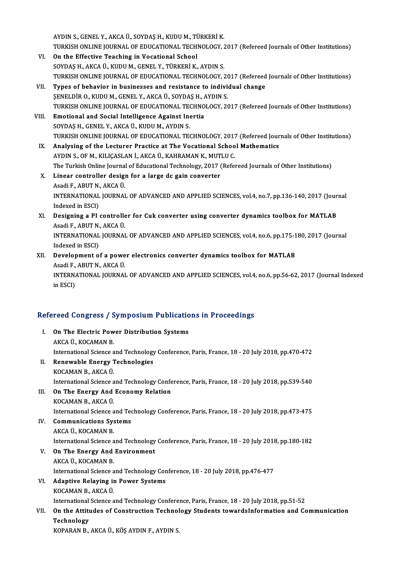AYDINS.,GENEL Y.,AKCAÜ.,SOYDAŞH.,KUDUM.,TÜRKERİK.

- AYDIN S., GENEL Y., AKCA Ü., SOYDAŞ H., KUDU M., TÜRKERİ K.<br>TURKISH ONLINE JOURNAL OF EDUCATIONAL TECHNOLOGY, 2017 (Refereed Journals of Other Institutions)<br>On the Effective Teaching in Vesational School. VI. On the Effective Teaching in Vocational School<br>SOYDAS H., AKCA Ü., KUDU M., GENEL Y., TÜRKERİ K., AYDIN S. TURKISH ONLINE JOURNAL OF EDUCATIONAL TECHNOLOGY, 2<br>On the Effective Teaching in Vocational School<br>SOYDAŞ H., AKCA Ü., KUDU M., GENEL Y., TÜRKERİ K., AYDIN S.<br>TURKISL ONLINE JOURNAL OF EDUCATIONAL TECHNOLOGY 2 On the Effective Teaching in Vocational School<br>SOYDAŞ H., AKCA Ü., KUDU M., GENEL Y., TÜRKERİ K., AYDIN S.<br>TURKISH ONLINE JOURNAL OF EDUCATIONAL TECHNOLOGY, 2017 (Refereed Journals of Other Institutions)<br>Tupes of behavior SOYDAŞ H., AKCA Ü., KUDU M., GENEL Y., TÜRKERİ K., AYDIN S.<br>TURKISH ONLINE JOURNAL OF EDUCATIONAL TECHNOLOGY, 2017 (Refereed<br>VII. Types of behavior in businesses and resistance to individual change<br>SENELDIR O. KUDU M.
- TURKISH ONLINE JOURNAL OF EDUCATIONAL TECHNOLOGY, 20<br>Types of behavior in businesses and resistance to indivi-<br>SENELDİR O., KUDU M., GENEL Y., AKCA Ü., SOYDAŞ H., AYDIN S.<br>TURKISH ONLINE JOURNAL OE EDUCATIONAL TECHNOLOGY, Types of behavior in businesses and resistance to individual change<br>ŞENELDİR O., KUDU M., GENEL Y., AKCA Ü., SOYDAŞ H., AYDIN S.<br>TURKISH ONLINE JOURNAL OF EDUCATIONAL TECHNOLOGY, 2017 (Refereed Journals of Other Institutio SENELDIR O., KUDU M., GENEL Y., AKCA Ü., SOYDAS H., A<br>TURKISH ONLINE JOURNAL OF EDUCATIONAL TECHNO<br>VIII. Emotional and Social Intelligence Against Inertia<br>SOYDAS H. CENEL Y. AKCA Ü. KUDU M. AYDIN S
- TURKISH ONLINE JOURNAL OF EDUCATIONAL TE<br>Emotional and Social Intelligence Against Inc<br>SOYDAŞ H., GENEL Y., AKCA Ü., KUDU M., AYDIN S.<br>TURKISH ONLINE IOURNAL OF EDUCATIONAL TEG Emotional and Social Intelligence Against Inertia<br>SOYDAŞ H., GENEL Y., AKCA Ü., KUDU M., AYDIN S.<br>TURKISH ONLINE JOURNAL OF EDUCATIONAL TECHNOLOGY, 2017 (Refereed Journals of Other Institutions)<br>Analysing of the Lestuner P SOYDAŞ H., GENEL Y., AKCA Ü., KUDU M., AYDIN S.<br>TURKISH ONLINE JOURNAL OF EDUCATIONAL TECHNOLOGY, 2017 (Refereed Jour<br>IX. Analysing of the Lecturer Practice at The Vocational School Mathematics<br>AYDIN S. OE M. KU ICASLAN İ.
- TURKISH ONLINE JOURNAL OF EDUCATIONAL TECHNOLOGY, 2017<br>Analysing of the Lecturer Practice at The Vocational Schoo<br>AYDIN S., OF M., KILIÇASLAN İ., AKCA Ü., KAHRAMAN K., MUTLU C.<br>The Turkish Online Journal of Educational Tec Analysing of the Lecturer Practice at The Vocational School Mathematics<br>AYDIN S., OF M., KILIÇASLAN İ., AKCA Ü., KAHRAMAN K., MUTLU C.<br>The Turkish Online Journal of Educational Technology, 2017 (Refereed Journals of Other AYDIN S., OF M., KILIÇASLAN İ., AKCA Ü., KAHRAMAN K., MUT.<br>The Turkish Online Journal of Educational Technology, 2017 (<br>X. Linear controller design for a large dc gain converter
- The Turkish Online Journa<br>Linear controller design<br>Asadi F., ABUT N., AKCA Ü.<br>INTERNATIONAL JOURNAL X. Linear controller design for a large dc gain converter<br>Asadi F., ABUT N., AKCA Ü.<br>INTERNATIONAL JOURNAL OF ADVANCED AND APPLIED SCIENCES, vol.4, no.7, pp.136-140, 2017 (Journal<br>Indexed in ESCI) Asadi F, ABUT N, AKCA Ü INTERNATIONAL JOURNAL OF ADVANCED AND APPLIED SCIENCES, vol.4, no.7, pp.136-140, 2017 (Jour<br>Indexed in ESCI)<br>XI. Designing a PI controller for Cuk converter using converter dynamics toolbox for MATLAB<br>Agedi E. APUT N. AKCA
- Indexed in ESCI)<br>Designing a PI controlle<br>Asadi F., ABUT N., AKCA Ü.<br>INTERNATIONAL IOURNAI Asadi F., ABUT N., AKCA Ü.

INTERNATIONAL JOURNAL OF ADVANCED AND APPLIED SCIENCES, vol.4, no.6, pp.175-180, 2017 (Journal Indexed in ESCI) INTERNATIONAL JOURNAL OF ADVANCED AND APPLIED SCIENCES, vol.4, no.6, pp.175-1<br>Indexed in ESCI)<br>XII. Development of a power electronics converter dynamics toolbox for MATLAB<br>Assai F. ARIIT N. AKCA Ü

Indexed in ESCI)<br>Development of a powe<br>Asadi F., ABUT N., AKCA Ü.<br>INTERNATIONAL IOURNAI Development of a power electronics converter dynamics toolbox for MATLAB<br>Asadi F., ABUT N., AKCA Ü.<br>INTERNATIONAL JOURNAL OF ADVANCED AND APPLIED SCIENCES, vol.4, no.6, pp.56-62, 2017 (Journal Indexed<br>in ESCD. Asadi F.,<br>INTERN/<br>in ESCI)

# m esci)<br>Refereed Congress / Symposium Publications in Proceedings

| Refereed Congress / Symposium Publications in Proceedings |                                                                                               |
|-----------------------------------------------------------|-----------------------------------------------------------------------------------------------|
| L                                                         | On The Electric Power Distribution Systems                                                    |
|                                                           | AKCA Ü., KOCAMAN B.                                                                           |
|                                                           | International Science and Technology Conference, Paris, France, 18 - 20 July 2018, pp.470-472 |
| Н.                                                        | Renewable Energy Technologies                                                                 |
|                                                           | KOCAMAN B., AKCA Ü.                                                                           |
|                                                           | International Science and Technology Conference, Paris, France, 18 - 20 July 2018, pp.539-540 |
| III.                                                      | On The Energy And Economy Relation                                                            |
|                                                           | KOCAMAN B., AKCA Ü.                                                                           |
|                                                           | International Science and Technology Conference, Paris, France, 18 - 20 July 2018, pp.473-475 |
| IV.                                                       | <b>Communications Systems</b>                                                                 |
|                                                           | AKCA Ü, KOCAMAN B                                                                             |
|                                                           | International Science and Technology Conference, Paris, France, 18 - 20 July 2018, pp.180-182 |
| V.                                                        | On The Energy And Environment                                                                 |
|                                                           | AKCA Ü, KOCAMAN B                                                                             |
|                                                           | International Science and Technology Conference, 18 - 20 July 2018, pp.476-477                |
| VI.                                                       | Adaptive Relaying in Power Systems                                                            |
|                                                           | KOCAMAN B., AKCA Ü.                                                                           |
|                                                           | International Science and Technology Conference, Paris, France, 18 - 20 July 2018, pp.51-52   |
| VII.                                                      | On the Attitudes of Construction Technology Students towardsInformation and Communication     |
|                                                           | Technology                                                                                    |
|                                                           | KOPARAN B., AKCA Ü., KÖŞ AYDIN F., AYDIN S.                                                   |
|                                                           |                                                                                               |